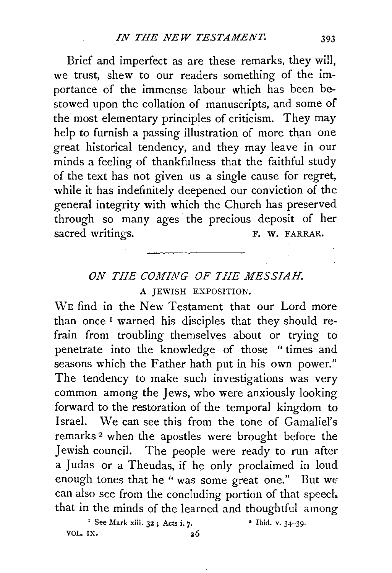Brief and imperfect as are these remarks, they wi!I, we trust, shew to our readers something of the importance of the immense labour which has been bestowed upon the collation of manuscripts, and some of the most elementary principles of criticism. They may help to furnish a passing illustration of more than one great historical tendency, and they may leave in our minds a feeling of thankfulness that the faithful study of the text has not given us a single cause for regret, while it has indefinitely deepened our conviction of the general integrity with which the Church has preserved through so many ages the precious deposit of her sacred writings. F. W. FARRAR.

## *ON THE COMING OF THE MESSIAH.*  A JEWISH EXPOSITION.

WE find in the New Testament that our Lord more than once 1 warned his disciples that they should refrain from troubling themselves about or trying to penetrate into the knowledge of those " times and seasons which the Father hath put in his own power." The tendency to make such investigations was very common among the Jews, who were anxiously looking forward to the restoration of the temporal kingdom to Israel. We can see this from the tone of Gamaliel's remarks 2 when the apostles were brought before the Jewish council. The people were ready to run after a Judas or a Theudas, if he only proclaimed in loud enough tones that he "was some great one." But we can also see from the concluding portion of that speed. that in the minds of the learned and thoughtful among

<sup>1</sup> See Mark xiii.  $32$ ; Acts i. 7. **•** Ibid. v.  $34-39$ . VOL. IX.  $26$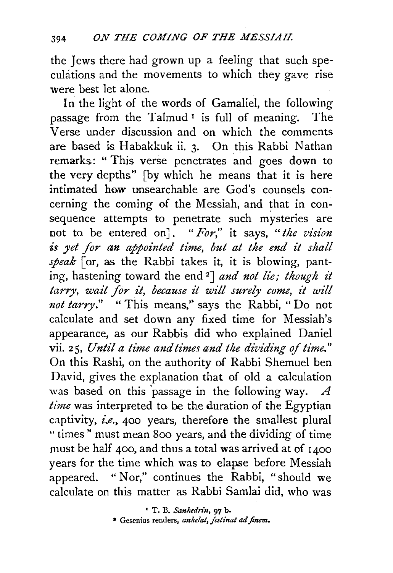the Jews there had grown up a feeling that such speculations and the movements to which they gave rise were best let alone.

In the light of the words of Gamaliel, the following passage from the Talmud<sup>1</sup> is full of meaning. The Verse under discussion and on which the comments are based is Habakkuk ii. 3. On \_this Rabbi Nathan remarks: " This verse penetrates and goes down to the very depths" [by which he means that it is here intimated how unsearchable are God's counsels concerning the coming of the Messiah, and that in consequence attempts to penetrate such mysteries are not to be entered on]. *"For,"* it says, *"the vision*  is yet for an appointed time, but at the end it shall *speak* [or, as the Rabbi takes it, it is blowing, panting, hastening toward the end 2] *and not lie; though it tarry, wait for it, because it will surely come, it will*  not tarry." "This means," says the Rabbi, "Do not calculate and set down any fixed time for Messiah's appearance, as our Rabbis did who explained Daniel vii. 25, *Until a time and times and the dividing of time.*" On this Rashi, on the authority of Rabbi Shemuel ben David, gives the explanation that of old a calculation was based on this 'passage in the following way. *A time* was interpreted to be the duration of the Egyptian captivity, *i.e.*, 400 years, therefore the smallest plural " times" must mean 800 years, and the dividing of time must be half 400, and thus a total was arrived at of  $1400$ years for the time which was to elapse before Messiah appeared. " Nor," continues the Rabbi, "should we calculate on this matter as Rabbi Samlai did, who was

<sup>•</sup> T. B. *Sanludn"n,* 97 b.

<sup>•</sup> Gesenius renders, *anhelat, festinat ad finem.*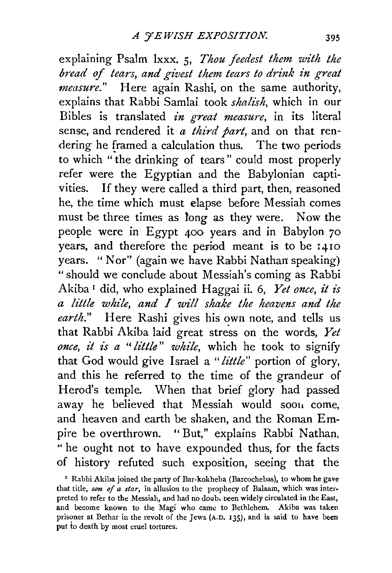explaining Psalm lxxx. 5, *Thou feedest them with the bread of tears, and givest them tears to drink in great measure."* Here again Rashi, on the same authority, explains that Rabbi Samlai took *shal£sh,* which in our Bibles is translated *in great measure*, in its literal sense, and rendered it *a third part*, and on that rendering he framed a calculation thus. The two periods to which "the drinking of tears" could most properly refer were the Egyptian and the Babylonian captivities. If they were called a third part, then, reasoned he, the time which must elapse before Messiah comes must be three times as long as they were. Now the people were in Egypt 400 years and in Babylon 70 years, and therefore the period meant is to be 1410 years. "Nor" (again we have Rabbi Nathan speaking) "should we conclude about Messiah's coming as Rabbi Akiba<sup>1</sup> did, who explained Haggai ii. 6, *Yet once*, it is *a little whz'le, and I wz'll shake the heavens and the earth."* Here Rashi gives his own note, and tells us that Rabbi Akiba laid great stress on the words, Yet *once, it is a " little" while, which he took to signify* that God would give Israel a *"little"* portion of glory, and this he referred to the time of the grandeur of Herod's temple. When that brief glory had passed away he believed that Messiah would soon come. and heaven and earth be shaken, and the Roman Empire be overthrown. "But," explains Rabbi Nathan, " he ought not to have expounded thus, for the facts of history refuted such exposition, seeing that the

' Rabbi Akiba joined the party of Bar-kokheba (Barcochebas), to whom he gave that title, *son of a star,* in allusion to the prophecy of Balaam, which was interpreted to refer to the Messiah, and had no doub, been widely circulated in the East, and become known to the Magi who came to Bethlehem. Akiba was taken prisoner at Bethar in the revolt of the Jews (A.D. 135), and is said to have been put to death by most cruel tortures.